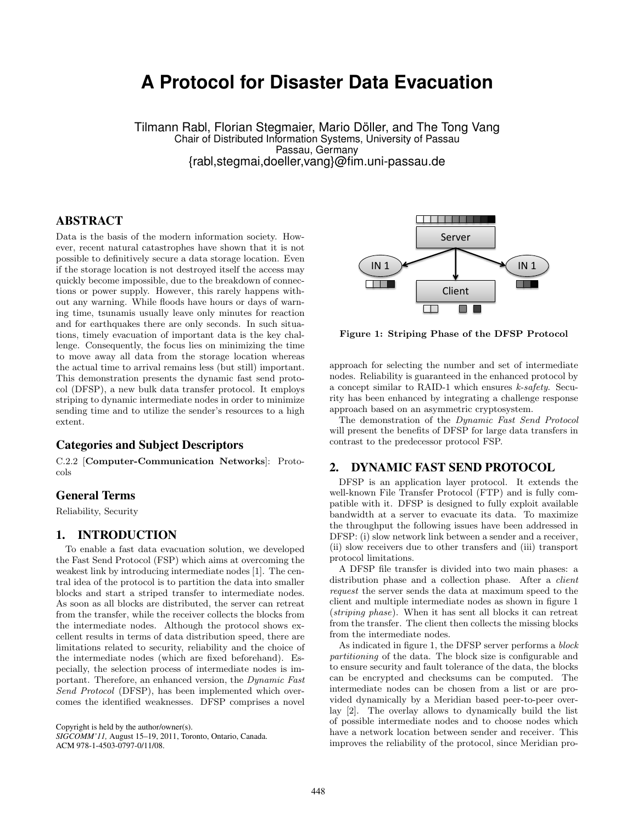# **A Protocol for Disaster Data Evacuation**

Tilmann Rabl, Florian Stegmaier, Mario Döller, and The Tong Vang Chair of Distributed Information Systems, University of Passau Passau, Germany {rabl,stegmai,doeller,vang}@fim.uni-passau.de

# ABSTRACT

Data is the basis of the modern information society. However, recent natural catastrophes have shown that it is not possible to definitively secure a data storage location. Even if the storage location is not destroyed itself the access may quickly become impossible, due to the breakdown of connections or power supply. However, this rarely happens without any warning. While floods have hours or days of warning time, tsunamis usually leave only minutes for reaction and for earthquakes there are only seconds. In such situations, timely evacuation of important data is the key challenge. Consequently, the focus lies on minimizing the time to move away all data from the storage location whereas the actual time to arrival remains less (but still) important. This demonstration presents the dynamic fast send protocol (DFSP), a new bulk data transfer protocol. It employs striping to dynamic intermediate nodes in order to minimize sending time and to utilize the sender's resources to a high extent.

# Categories and Subject Descriptors

C.2.2 [Computer-Communication Networks]: Protocols

# General Terms

Reliability, Security

## 1. INTRODUCTION

To enable a fast data evacuation solution, we developed the Fast Send Protocol (FSP) which aims at overcoming the weakest link by introducing intermediate nodes [1]. The central idea of the protocol is to partition the data into smaller blocks and start a striped transfer to intermediate nodes. As soon as all blocks are distributed, the server can retreat from the transfer, while the receiver collects the blocks from the intermediate nodes. Although the protocol shows excellent results in terms of data distribution speed, there are limitations related to security, reliability and the choice of the intermediate nodes (which are fixed beforehand). Especially, the selection process of intermediate nodes is important. Therefore, an enhanced version, the Dynamic Fast Send Protocol (DFSP), has been implemented which overcomes the identified weaknesses. DFSP comprises a novel

Copyright is held by the author/owner(s). *SIGCOMM'11,* August 15–19, 2011, Toronto, Ontario, Canada. ACM 978-1-4503-0797-0/11/08.



Figure 1: Striping Phase of the DFSP Protocol

approach for selecting the number and set of intermediate nodes. Reliability is guaranteed in the enhanced protocol by a concept similar to RAID-1 which ensures k-safety. Security has been enhanced by integrating a challenge response approach based on an asymmetric cryptosystem.

The demonstration of the Dynamic Fast Send Protocol will present the benefits of DFSP for large data transfers in contrast to the predecessor protocol FSP.

#### 2. DYNAMIC FAST SEND PROTOCOL

DFSP is an application layer protocol. It extends the well-known File Transfer Protocol (FTP) and is fully compatible with it. DFSP is designed to fully exploit available bandwidth at a server to evacuate its data. To maximize the throughput the following issues have been addressed in DFSP: (i) slow network link between a sender and a receiver, (ii) slow receivers due to other transfers and (iii) transport protocol limitations.

A DFSP file transfer is divided into two main phases: a distribution phase and a collection phase. After a *client* request the server sends the data at maximum speed to the client and multiple intermediate nodes as shown in figure 1 (striping phase). When it has sent all blocks it can retreat from the transfer. The client then collects the missing blocks from the intermediate nodes.

As indicated in figure 1, the DFSP server performs a block partitioning of the data. The block size is configurable and to ensure security and fault tolerance of the data, the blocks can be encrypted and checksums can be computed. The intermediate nodes can be chosen from a list or are provided dynamically by a Meridian based peer-to-peer overlay [2]. The overlay allows to dynamically build the list of possible intermediate nodes and to choose nodes which have a network location between sender and receiver. This improves the reliability of the protocol, since Meridian pro-